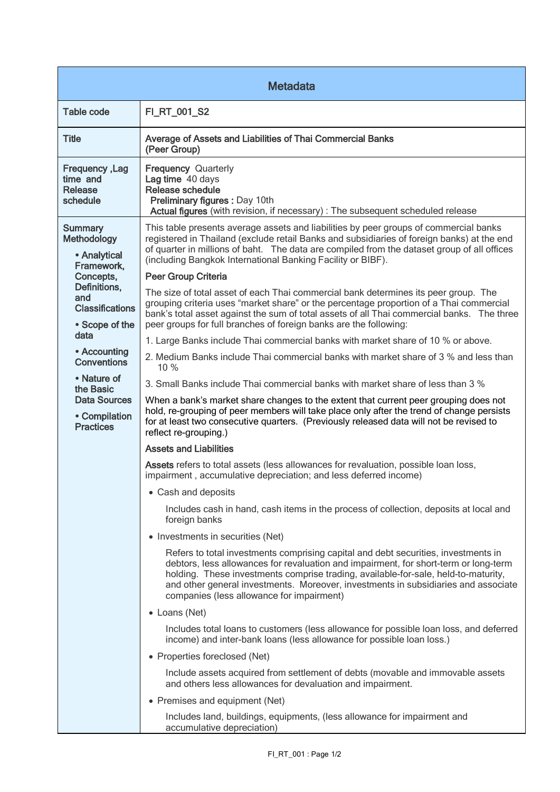| <b>Metadata</b>                                                                                                                                                                                                                                                                   |                                                                                                                                                                                                                                                                                                                                                                                                                                                                                                                                                                                                                                                                                                                                                                                                                                                                                                                                                                                                                                                                                                                                                                                                                                                                                                                                                                                                                                                                                                                                  |  |
|-----------------------------------------------------------------------------------------------------------------------------------------------------------------------------------------------------------------------------------------------------------------------------------|----------------------------------------------------------------------------------------------------------------------------------------------------------------------------------------------------------------------------------------------------------------------------------------------------------------------------------------------------------------------------------------------------------------------------------------------------------------------------------------------------------------------------------------------------------------------------------------------------------------------------------------------------------------------------------------------------------------------------------------------------------------------------------------------------------------------------------------------------------------------------------------------------------------------------------------------------------------------------------------------------------------------------------------------------------------------------------------------------------------------------------------------------------------------------------------------------------------------------------------------------------------------------------------------------------------------------------------------------------------------------------------------------------------------------------------------------------------------------------------------------------------------------------|--|
| <b>Table code</b>                                                                                                                                                                                                                                                                 | FI_RT_001_S2                                                                                                                                                                                                                                                                                                                                                                                                                                                                                                                                                                                                                                                                                                                                                                                                                                                                                                                                                                                                                                                                                                                                                                                                                                                                                                                                                                                                                                                                                                                     |  |
| <b>Title</b>                                                                                                                                                                                                                                                                      | Average of Assets and Liabilities of Thai Commercial Banks<br>(Peer Group)                                                                                                                                                                                                                                                                                                                                                                                                                                                                                                                                                                                                                                                                                                                                                                                                                                                                                                                                                                                                                                                                                                                                                                                                                                                                                                                                                                                                                                                       |  |
| Frequency, Lag<br>time and<br><b>Release</b><br>schedule                                                                                                                                                                                                                          | <b>Frequency Quarterly</b><br>Lag time 40 days<br>Release schedule<br>Preliminary figures : Day 10th<br>Actual figures (with revision, if necessary) : The subsequent scheduled release                                                                                                                                                                                                                                                                                                                                                                                                                                                                                                                                                                                                                                                                                                                                                                                                                                                                                                                                                                                                                                                                                                                                                                                                                                                                                                                                          |  |
| <b>Summary</b><br><b>Methodology</b><br>• Analytical<br>Framework,<br>Concepts,<br>Definitions,<br>and<br><b>Classifications</b><br>• Scope of the<br>data<br>• Accounting<br><b>Conventions</b><br>• Nature of<br>the Basic<br>Data Sources<br>• Compilation<br><b>Practices</b> | This table presents average assets and liabilities by peer groups of commercial banks<br>registered in Thailand (exclude retail Banks and subsidiaries of foreign banks) at the end<br>of quarter in millions of baht. The data are compiled from the dataset group of all offices<br>(including Bangkok International Banking Facility or BIBF).<br>Peer Group Criteria<br>The size of total asset of each Thai commercial bank determines its peer group. The<br>grouping criteria uses "market share" or the percentage proportion of a Thai commercial<br>bank's total asset against the sum of total assets of all Thai commercial banks. The three<br>peer groups for full branches of foreign banks are the following:<br>1. Large Banks include Thai commercial banks with market share of 10 % or above.<br>2. Medium Banks include Thai commercial banks with market share of 3 % and less than<br>10 %<br>3. Small Banks include Thai commercial banks with market share of less than 3 %<br>When a bank's market share changes to the extent that current peer grouping does not<br>hold, re-grouping of peer members will take place only after the trend of change persists<br>for at least two consecutive quarters. (Previously released data will not be revised to<br>reflect re-grouping.)<br><b>Assets and Liabilities</b><br>Assets refers to total assets (less allowances for revaluation, possible loan loss,<br>impairment, accumulative depreciation; and less deferred income)<br>• Cash and deposits |  |
|                                                                                                                                                                                                                                                                                   | Includes cash in hand, cash items in the process of collection, deposits at local and<br>foreign banks<br>• Investments in securities (Net)<br>Refers to total investments comprising capital and debt securities, investments in<br>debtors, less allowances for revaluation and impairment, for short-term or long-term<br>holding. These investments comprise trading, available-for-sale, held-to-maturity,<br>and other general investments. Moreover, investments in subsidiaries and associate<br>companies (less allowance for impairment)<br>• Loans (Net)<br>Includes total loans to customers (less allowance for possible loan loss, and deferred<br>income) and inter-bank loans (less allowance for possible loan loss.)<br>• Properties foreclosed (Net)<br>Include assets acquired from settlement of debts (movable and immovable assets<br>and others less allowances for devaluation and impairment.<br>• Premises and equipment (Net)<br>Includes land, buildings, equipments, (less allowance for impairment and<br>accumulative depreciation)                                                                                                                                                                                                                                                                                                                                                                                                                                                              |  |